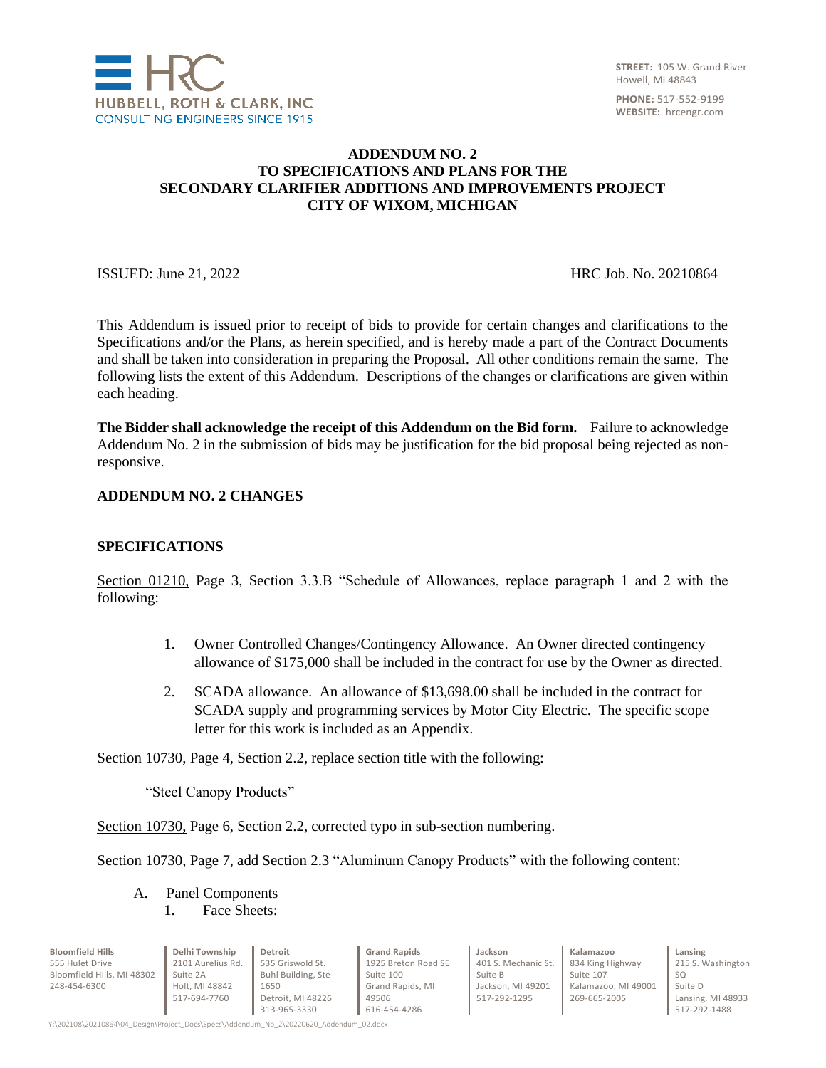

## **ADDENDUM NO. 2 TO SPECIFICATIONS AND PLANS FOR THE SECONDARY CLARIFIER ADDITIONS AND IMPROVEMENTS PROJECT CITY OF WIXOM, MICHIGAN**

ISSUED: June 21, 2022 HRC Job. No. 20210864

This Addendum is issued prior to receipt of bids to provide for certain changes and clarifications to the Specifications and/or the Plans, as herein specified, and is hereby made a part of the Contract Documents and shall be taken into consideration in preparing the Proposal. All other conditions remain the same. The following lists the extent of this Addendum. Descriptions of the changes or clarifications are given within each heading.

**The Bidder shall acknowledge the receipt of this Addendum on the Bid form.** Failure to acknowledge Addendum No. 2 in the submission of bids may be justification for the bid proposal being rejected as nonresponsive.

#### **ADDENDUM NO. 2 CHANGES**

#### **SPECIFICATIONS**

Section 01210, Page 3, Section 3.3.B "Schedule of Allowances, replace paragraph 1 and 2 with the following:

- 1. Owner Controlled Changes/Contingency Allowance. An Owner directed contingency allowance of \$175,000 shall be included in the contract for use by the Owner as directed.
- 2. SCADA allowance. An allowance of \$13,698.00 shall be included in the contract for SCADA supply and programming services by Motor City Electric. The specific scope letter for this work is included as an Appendix.

Section 10730, Page 4, Section 2.2, replace section title with the following:

"Steel Canopy Products"

Section 10730, Page 6, Section 2.2, corrected typo in sub-section numbering.

Section 10730, Page 7, add Section 2.3 "Aluminum Canopy Products" with the following content:

A. Panel Components 1. Face Sheets:

| <b>Bloomfield Hills</b>    | Delhi Township    | Detroit            | <b>Grand Rapids</b> | Jackson             | Kalamazoo           | Lansing           |
|----------------------------|-------------------|--------------------|---------------------|---------------------|---------------------|-------------------|
| 555 Hulet Drive            | 2101 Aurelius Rd. | 535 Griswold St.   | 1925 Breton Road SE | 401 S. Mechanic St. | 834 King Highway    | 215 S. Washington |
| Bloomfield Hills, MI 48302 | Suite 2A          | Buhl Building, Ste | Suite 100           | Suite B             | Suite 107           | SO.               |
| 248-454-6300               | Holt, MI 48842    | 1650               | Grand Rapids, MI    | Jackson, MI 49201   | Kalamazoo, MI 49001 | Suite D           |
|                            | 517-694-7760      | Detroit. MI 48226  | 49506               | 517-292-1295        | 269-665-2005        | Lansing, MI 48933 |
|                            |                   | 313-965-3330       | 616-454-4286        |                     |                     | 517-292-1488      |
|                            |                   |                    |                     |                     |                     |                   |

Y:\202108\20210864\04\_Design\Project\_Docs\Specs\Addendum\_No\_2\20220620\_Addendum\_02.docx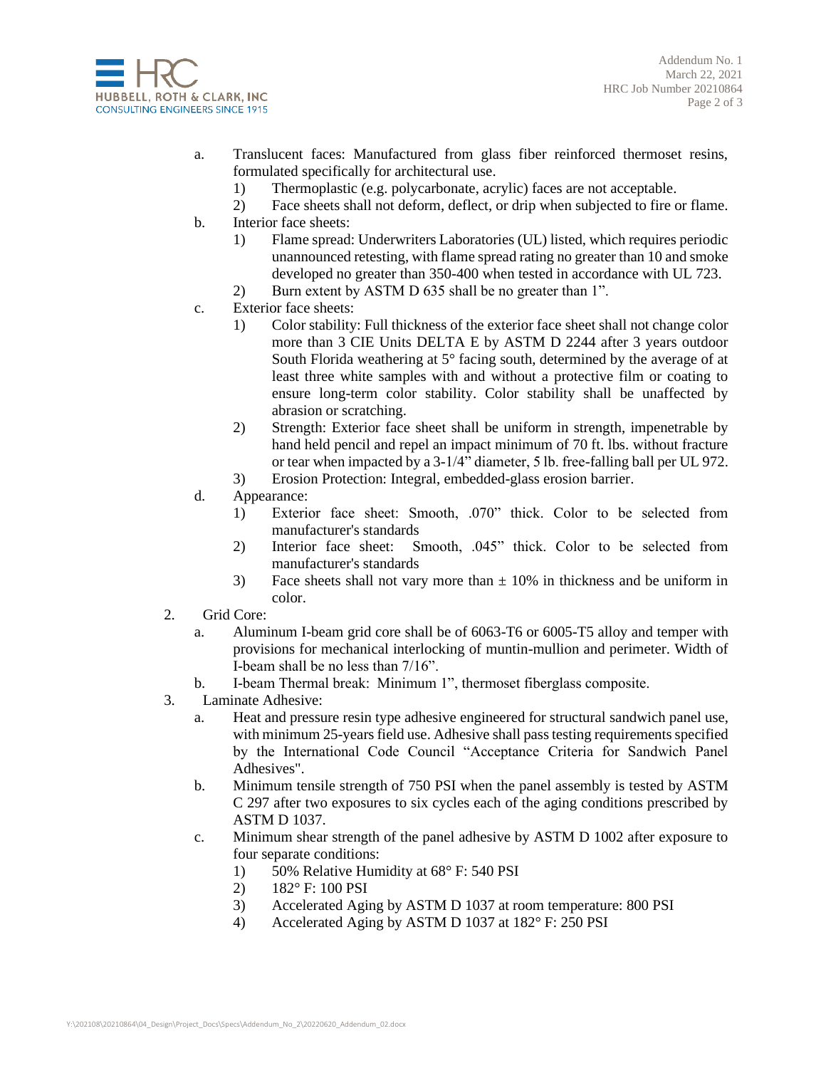

Addendum No. 1 March 22, 2021 HRC Job Number 20210864 Page 2 of 3

- a. Translucent faces: Manufactured from glass fiber reinforced thermoset resins, formulated specifically for architectural use.
	- 1) Thermoplastic (e.g. polycarbonate, acrylic) faces are not acceptable.
	- 2) Face sheets shall not deform, deflect, or drip when subjected to fire or flame.
- b. Interior face sheets:
	- 1) Flame spread: Underwriters Laboratories (UL) listed, which requires periodic unannounced retesting, with flame spread rating no greater than 10 and smoke developed no greater than 350-400 when tested in accordance with UL 723.
	- 2) Burn extent by ASTM D 635 shall be no greater than 1".
- c. Exterior face sheets:
	- 1) Color stability: Full thickness of the exterior face sheet shall not change color more than 3 CIE Units DELTA E by ASTM D 2244 after 3 years outdoor South Florida weathering at 5° facing south, determined by the average of at least three white samples with and without a protective film or coating to ensure long-term color stability. Color stability shall be unaffected by abrasion or scratching.
	- 2) Strength: Exterior face sheet shall be uniform in strength, impenetrable by hand held pencil and repel an impact minimum of 70 ft. lbs. without fracture or tear when impacted by a  $3-1/4$ <sup>3</sup> diameter, 5 lb. free-falling ball per UL 972.
	- 3) Erosion Protection: Integral, embedded-glass erosion barrier.
- d. Appearance:
	- 1) Exterior face sheet: Smooth, .070" thick. Color to be selected from manufacturer's standards
	- 2) Interior face sheet: Smooth, .045" thick. Color to be selected from manufacturer's standards
	- 3) Face sheets shall not vary more than  $\pm$  10% in thickness and be uniform in color.
- 2. Grid Core:
	- a. Aluminum I-beam grid core shall be of 6063-T6 or 6005-T5 alloy and temper with provisions for mechanical interlocking of muntin-mullion and perimeter. Width of I-beam shall be no less than 7/16".
	- b. I-beam Thermal break: Minimum 1", thermoset fiberglass composite.
- 3. Laminate Adhesive:
	- a. Heat and pressure resin type adhesive engineered for structural sandwich panel use, with minimum 25-years field use. Adhesive shall pass testing requirements specified by the International Code Council "Acceptance Criteria for Sandwich Panel Adhesives".
	- b. Minimum tensile strength of 750 PSI when the panel assembly is tested by ASTM C 297 after two exposures to six cycles each of the aging conditions prescribed by ASTM D 1037.
	- c. Minimum shear strength of the panel adhesive by ASTM D 1002 after exposure to four separate conditions:
		- 1) 50% Relative Humidity at 68° F: 540 PSI
		- 2) 182° F: 100 PSI
		- 3) Accelerated Aging by ASTM D 1037 at room temperature: 800 PSI
		- 4) Accelerated Aging by ASTM D 1037 at 182° F: 250 PSI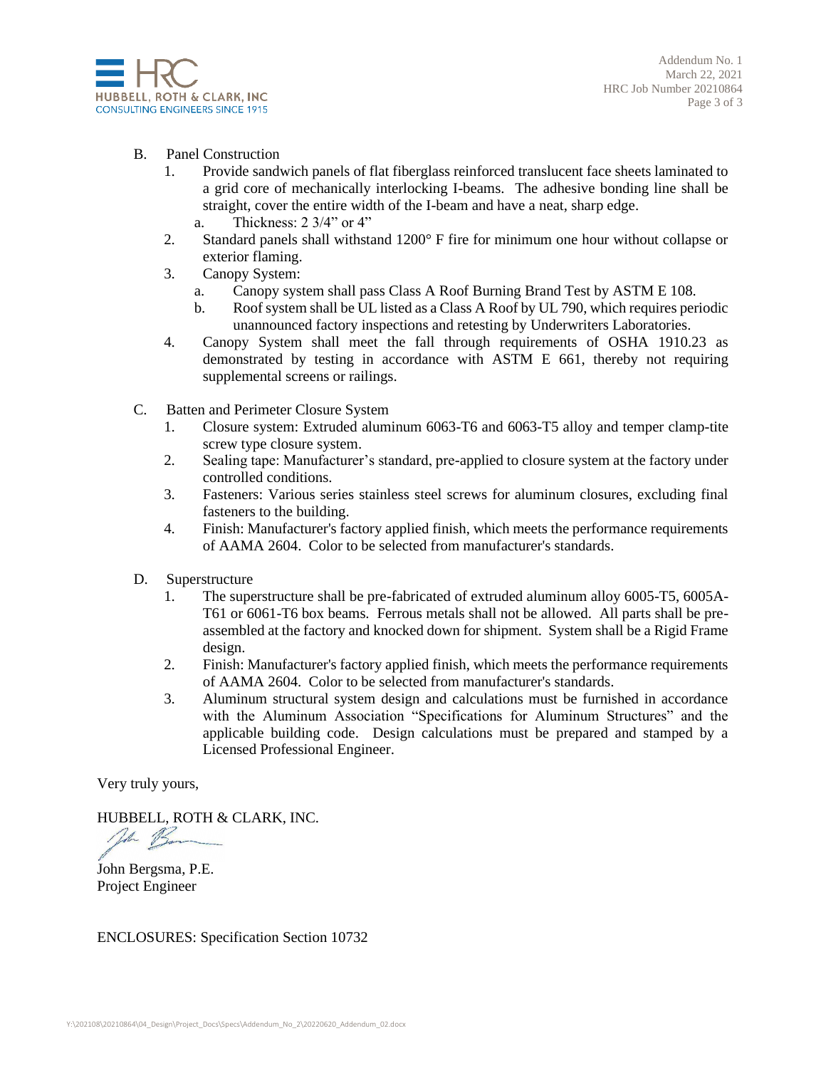

- B. Panel Construction
	- 1. Provide sandwich panels of flat fiberglass reinforced translucent face sheets laminated to a grid core of mechanically interlocking I-beams. The adhesive bonding line shall be straight, cover the entire width of the I-beam and have a neat, sharp edge.
		- a. Thickness: 2 3/4" or 4"
	- 2. Standard panels shall withstand 1200° F fire for minimum one hour without collapse or exterior flaming.
	- 3. Canopy System:
		- a. Canopy system shall pass Class A Roof Burning Brand Test by ASTM E 108.
		- b. Roof system shall be UL listed as a Class A Roof by UL 790, which requires periodic unannounced factory inspections and retesting by Underwriters Laboratories.
	- 4. Canopy System shall meet the fall through requirements of OSHA 1910.23 as demonstrated by testing in accordance with ASTM E 661, thereby not requiring supplemental screens or railings.
- C. Batten and Perimeter Closure System
	- 1. Closure system: Extruded aluminum 6063-T6 and 6063-T5 alloy and temper clamp-tite screw type closure system.
	- 2. Sealing tape: Manufacturer's standard, pre-applied to closure system at the factory under controlled conditions.
	- 3. Fasteners: Various series stainless steel screws for aluminum closures, excluding final fasteners to the building.
	- 4. Finish: Manufacturer's factory applied finish, which meets the performance requirements of AAMA 2604. Color to be selected from manufacturer's standards.
- D. Superstructure
	- 1. The superstructure shall be pre-fabricated of extruded aluminum alloy 6005-T5, 6005A-T61 or 6061-T6 box beams. Ferrous metals shall not be allowed. All parts shall be preassembled at the factory and knocked down for shipment. System shall be a Rigid Frame design.
	- 2. Finish: Manufacturer's factory applied finish, which meets the performance requirements of AAMA 2604. Color to be selected from manufacturer's standards.
	- 3. Aluminum structural system design and calculations must be furnished in accordance with the Aluminum Association "Specifications for Aluminum Structures" and the applicable building code. Design calculations must be prepared and stamped by a Licensed Professional Engineer.

Very truly yours,

HUBBELL, ROTH & CLARK, INC.

the Bur

John Bergsma, P.E. Project Engineer

ENCLOSURES: Specification Section 10732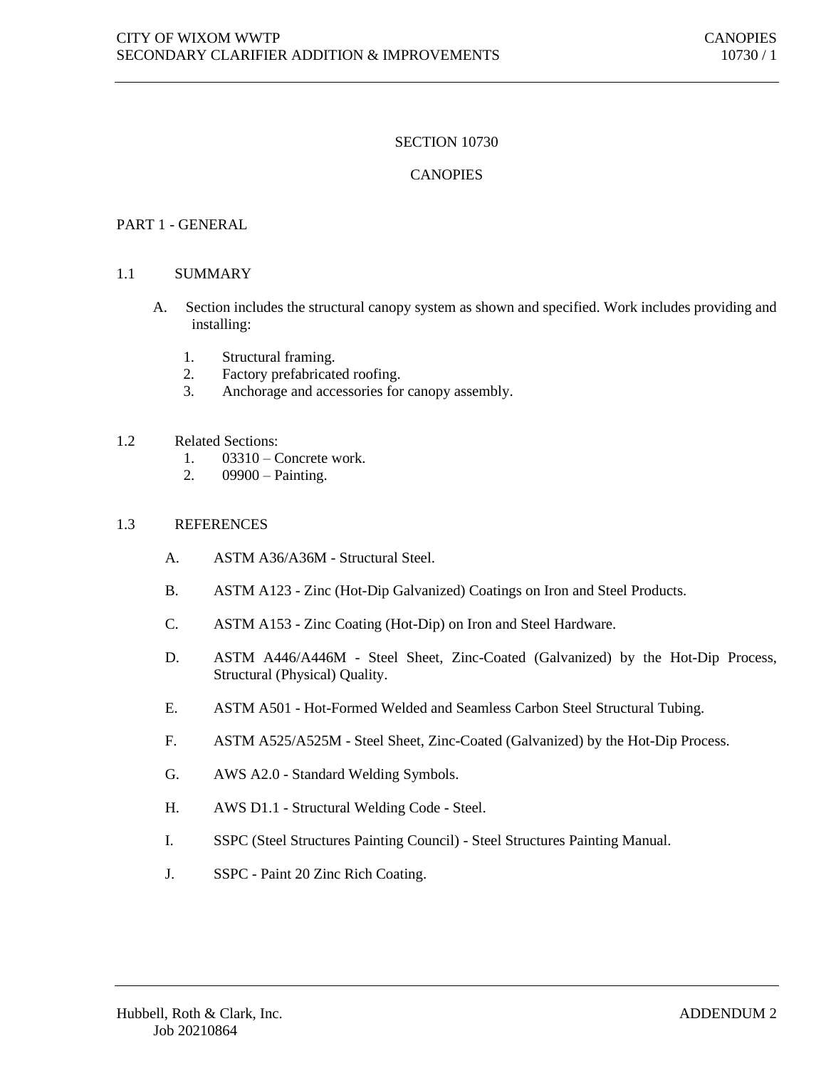# SECTION 10730

# **CANOPIES**

## PART 1 - GENERAL

#### 1.1 SUMMARY

- A. Section includes the structural canopy system as shown and specified. Work includes providing and installing:
	- 1. Structural framing.
	- 2. Factory prefabricated roofing.
	- 3. Anchorage and accessories for canopy assembly.

# 1.2 Related Sections:

- 1. 03310 Concrete work.
- 2. 09900 Painting.

## 1.3 REFERENCES

- A. ASTM A36/A36M Structural Steel.
- B. ASTM A123 Zinc (Hot-Dip Galvanized) Coatings on Iron and Steel Products.
- C. ASTM A153 Zinc Coating (Hot-Dip) on Iron and Steel Hardware.
- D. ASTM A446/A446M Steel Sheet, Zinc-Coated (Galvanized) by the Hot-Dip Process, Structural (Physical) Quality.
- E. ASTM A501 Hot-Formed Welded and Seamless Carbon Steel Structural Tubing.
- F. ASTM A525/A525M Steel Sheet, Zinc-Coated (Galvanized) by the Hot-Dip Process.
- G. AWS A2.0 Standard Welding Symbols.
- H. AWS D1.1 Structural Welding Code Steel.
- I. SSPC (Steel Structures Painting Council) Steel Structures Painting Manual.
- J. SSPC Paint 20 Zinc Rich Coating.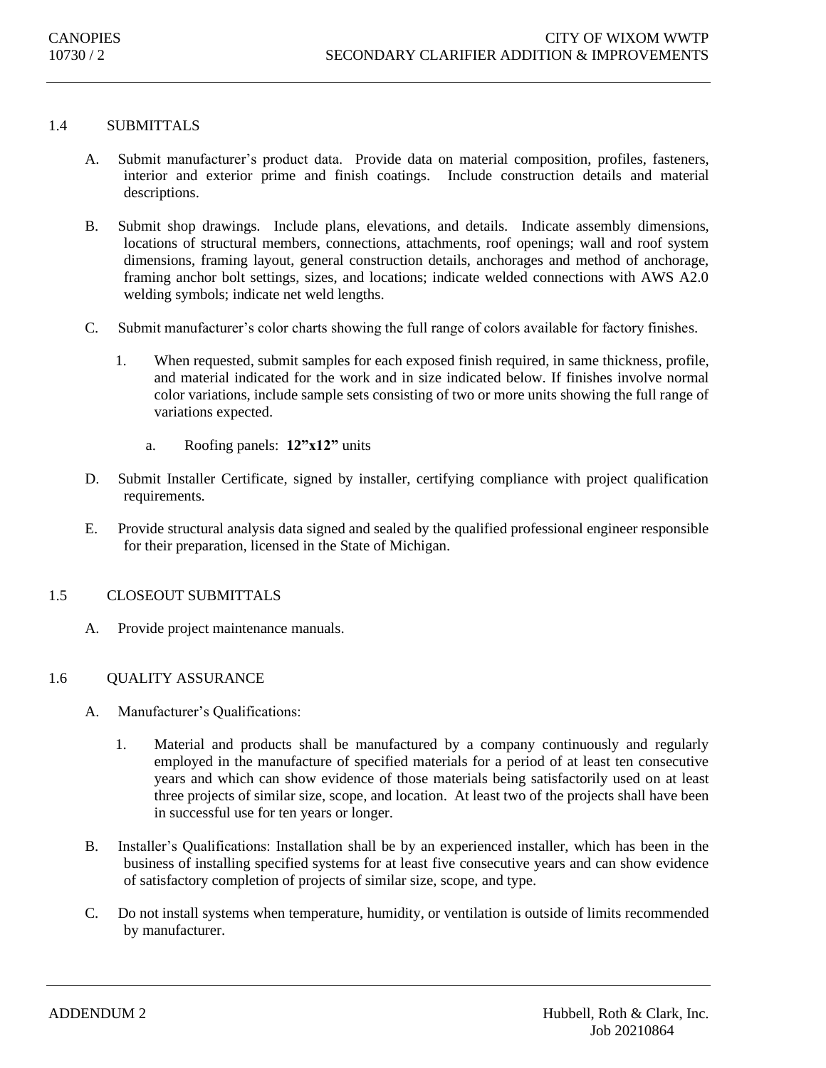# 1.4 SUBMITTALS

- A. Submit manufacturer's product data. Provide data on material composition, profiles, fasteners, interior and exterior prime and finish coatings. Include construction details and material descriptions.
- B. Submit shop drawings. Include plans, elevations, and details. Indicate assembly dimensions, locations of structural members, connections, attachments, roof openings; wall and roof system dimensions, framing layout, general construction details, anchorages and method of anchorage, framing anchor bolt settings, sizes, and locations; indicate welded connections with AWS A2.0 welding symbols; indicate net weld lengths.
- C. Submit manufacturer's color charts showing the full range of colors available for factory finishes.
	- 1. When requested, submit samples for each exposed finish required, in same thickness, profile, and material indicated for the work and in size indicated below. If finishes involve normal color variations, include sample sets consisting of two or more units showing the full range of variations expected.
		- a. Roofing panels: **12"x12"** units
- D. Submit Installer Certificate, signed by installer, certifying compliance with project qualification requirements.
- E. Provide structural analysis data signed and sealed by the qualified professional engineer responsible for their preparation, licensed in the State of Michigan.

#### 1.5 CLOSEOUT SUBMITTALS

A. Provide project maintenance manuals.

## 1.6 QUALITY ASSURANCE

- A. Manufacturer's Qualifications:
	- 1. Material and products shall be manufactured by a company continuously and regularly employed in the manufacture of specified materials for a period of at least ten consecutive years and which can show evidence of those materials being satisfactorily used on at least three projects of similar size, scope, and location. At least two of the projects shall have been in successful use for ten years or longer.
- B. Installer's Qualifications: Installation shall be by an experienced installer, which has been in the business of installing specified systems for at least five consecutive years and can show evidence of satisfactory completion of projects of similar size, scope, and type.
- C. Do not install systems when temperature, humidity, or ventilation is outside of limits recommended by manufacturer.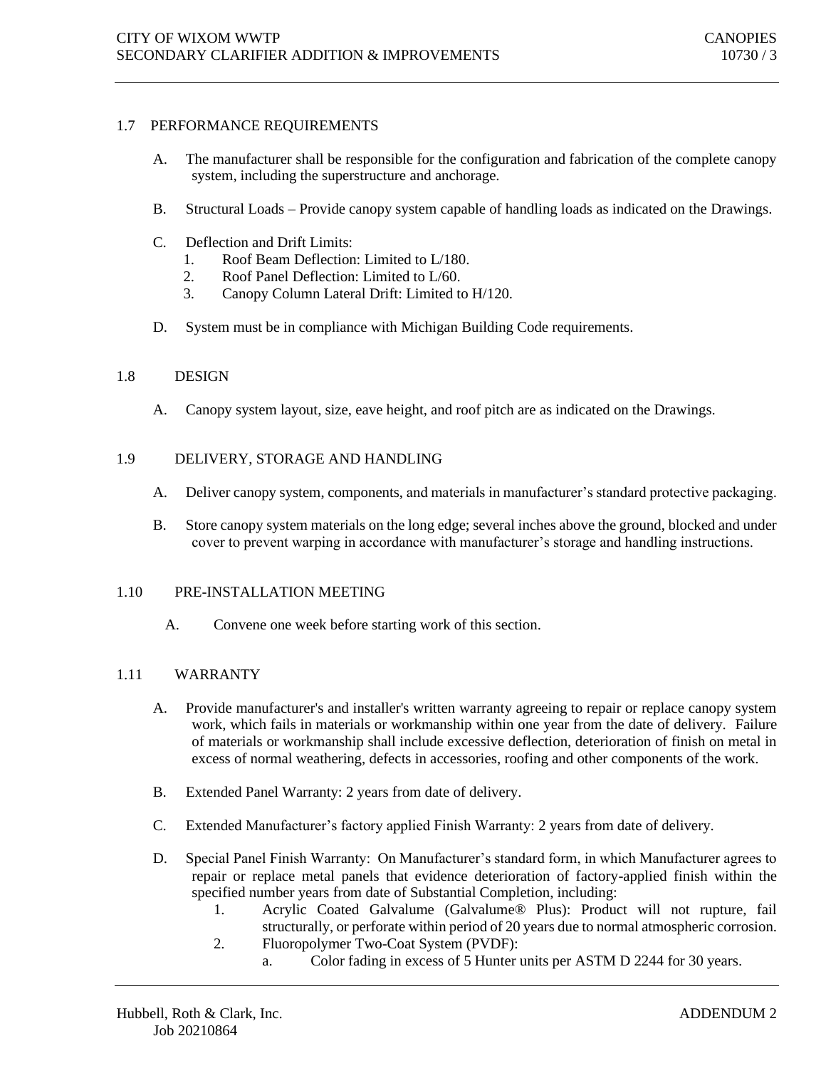## 1.7 PERFORMANCE REQUIREMENTS

- A. The manufacturer shall be responsible for the configuration and fabrication of the complete canopy system, including the superstructure and anchorage.
- B. Structural Loads Provide canopy system capable of handling loads as indicated on the Drawings.
- C. Deflection and Drift Limits:
	- 1. Roof Beam Deflection: Limited to L/180.
	- 2. Roof Panel Deflection: Limited to L/60.
	- 3. Canopy Column Lateral Drift: Limited to H/120.
- D. System must be in compliance with Michigan Building Code requirements.

#### 1.8 DESIGN

A. Canopy system layout, size, eave height, and roof pitch are as indicated on the Drawings.

#### 1.9 DELIVERY, STORAGE AND HANDLING

- A. Deliver canopy system, components, and materials in manufacturer's standard protective packaging.
- B. Store canopy system materials on the long edge; several inches above the ground, blocked and under cover to prevent warping in accordance with manufacturer's storage and handling instructions.

#### 1.10 PRE-INSTALLATION MEETING

A. Convene one week before starting work of this section.

#### 1.11 WARRANTY

- A. Provide manufacturer's and installer's written warranty agreeing to repair or replace canopy system work, which fails in materials or workmanship within one year from the date of delivery. Failure of materials or workmanship shall include excessive deflection, deterioration of finish on metal in excess of normal weathering, defects in accessories, roofing and other components of the work.
- B. Extended Panel Warranty: 2 years from date of delivery.
- C. Extended Manufacturer's factory applied Finish Warranty: 2 years from date of delivery.
- D. Special Panel Finish Warranty: On Manufacturer's standard form, in which Manufacturer agrees to repair or replace metal panels that evidence deterioration of factory-applied finish within the specified number years from date of Substantial Completion, including:
	- 1. Acrylic Coated Galvalume (Galvalume® Plus): Product will not rupture, fail structurally, or perforate within period of 20 years due to normal atmospheric corrosion.
	- 2. Fluoropolymer Two-Coat System (PVDF):
		- a. Color fading in excess of 5 Hunter units per ASTM D 2244 for 30 years.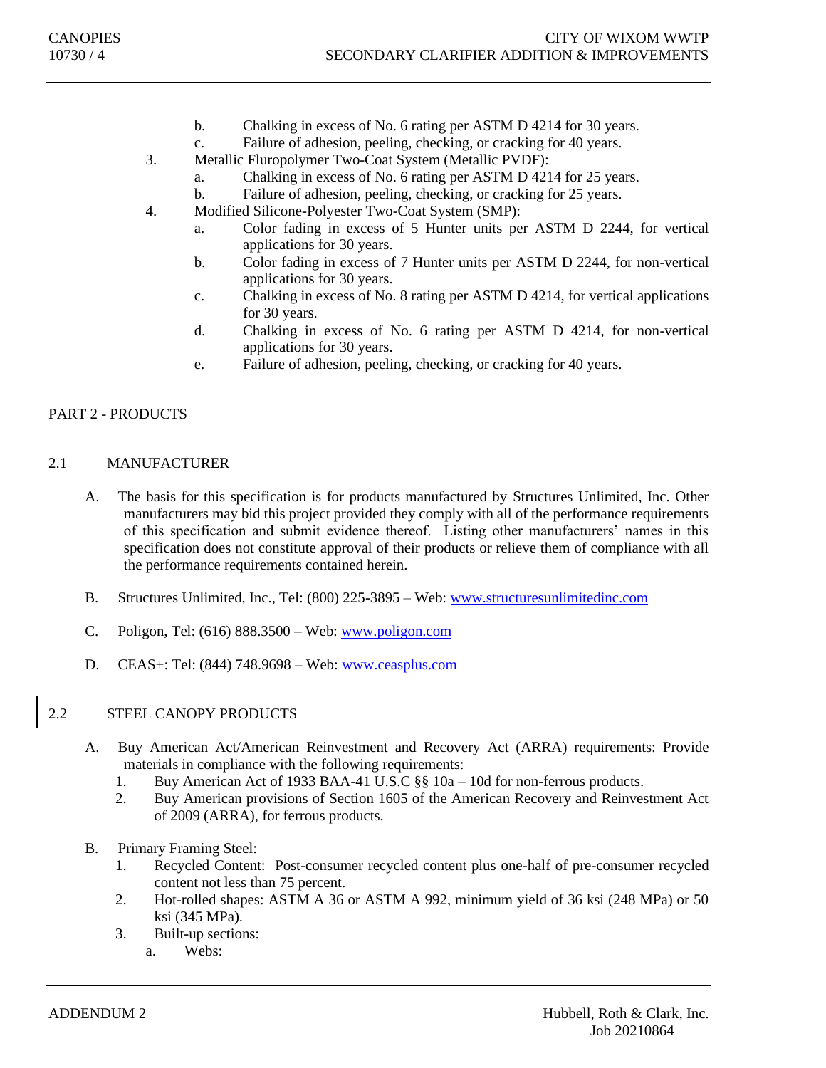- b. Chalking in excess of No. 6 rating per ASTM D 4214 for 30 years.
- c. Failure of adhesion, peeling, checking, or cracking for 40 years.
- 3. Metallic Fluropolymer Two-Coat System (Metallic PVDF):
	- a. Chalking in excess of No. 6 rating per ASTM D 4214 for 25 years.
	- b. Failure of adhesion, peeling, checking, or cracking for 25 years.
- 4. Modified Silicone-Polyester Two-Coat System (SMP):
	- a. Color fading in excess of 5 Hunter units per ASTM D 2244, for vertical applications for 30 years.
	- b. Color fading in excess of 7 Hunter units per ASTM D 2244, for non-vertical applications for 30 years.
	- c. Chalking in excess of No. 8 rating per ASTM D 4214, for vertical applications for 30 years.
	- d. Chalking in excess of No. 6 rating per ASTM D 4214, for non-vertical applications for 30 years.
	- e. Failure of adhesion, peeling, checking, or cracking for 40 years.

## PART 2 - PRODUCTS

## 2.1 MANUFACTURER

- A. The basis for this specification is for products manufactured by Structures Unlimited, Inc. Other manufacturers may bid this project provided they comply with all of the performance requirements of this specification and submit evidence thereof. Listing other manufacturers' names in this specification does not constitute approval of their products or relieve them of compliance with all the performance requirements contained herein.
- B. Structures Unlimited, Inc., Tel: (800) 225-3895 Web: [www.structuresunlimitedinc.com](http://www.structuresunlimitedinc.com/)
- C. Poligon, Tel: (616) 888.3500 Web: [www.poligon.com](http://www.poligon.com/)
- D. CEAS+: Tel: (844) 748.9698 Web: [www.ceasplus.com](http://www.ceasplus.com/)

# 2.2 STEEL CANOPY PRODUCTS

- A. Buy American Act/American Reinvestment and Recovery Act (ARRA) requirements: Provide materials in compliance with the following requirements:
	- 1. Buy American Act of 1933 BAA-41 U.S.C §§ 10a 10d for non-ferrous products.
	- 2. Buy American provisions of Section 1605 of the American Recovery and Reinvestment Act of 2009 (ARRA), for ferrous products.
- B. Primary Framing Steel:
	- 1. Recycled Content: Post-consumer recycled content plus one-half of pre-consumer recycled content not less than 75 percent.
	- 2. Hot-rolled shapes: ASTM A 36 or ASTM A 992, minimum yield of 36 ksi (248 MPa) or 50 ksi (345 MPa).
	- 3. Built-up sections:
		- a. Webs: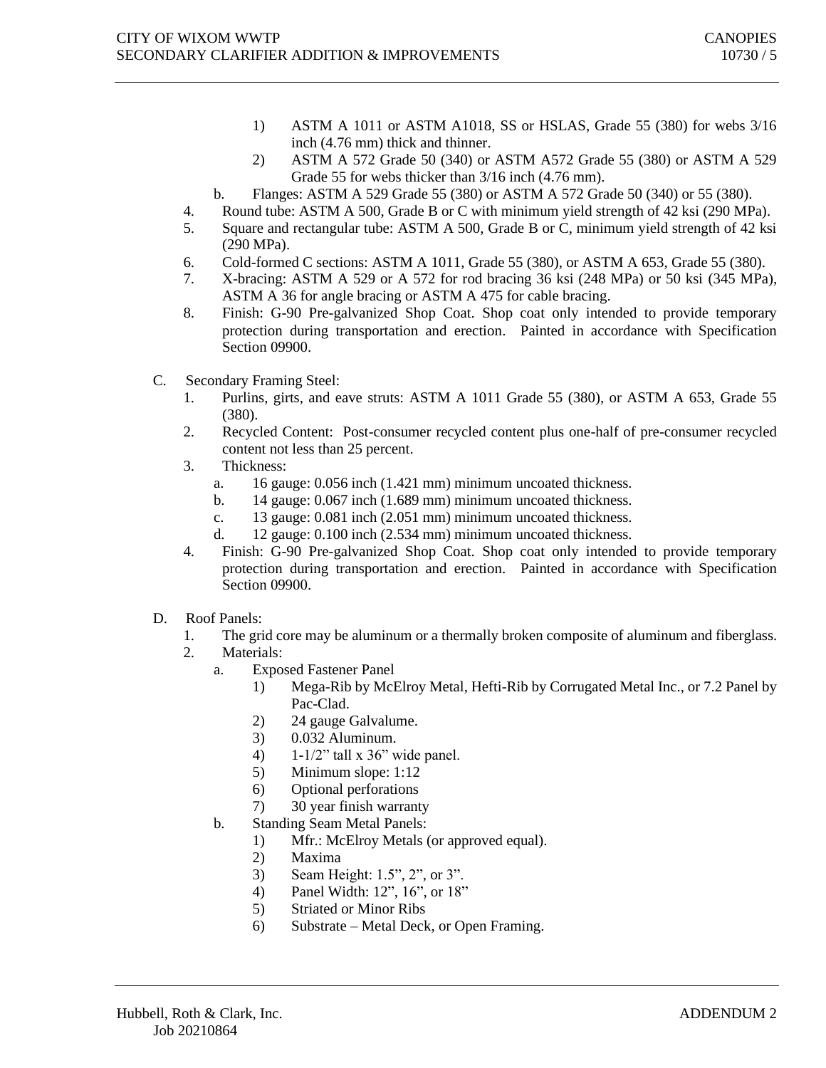- 1) ASTM A 1011 or ASTM A1018, SS or HSLAS, Grade 55 (380) for webs 3/16 inch (4.76 mm) thick and thinner.
- 2) ASTM A 572 Grade 50 (340) or ASTM A572 Grade 55 (380) or ASTM A 529 Grade 55 for webs thicker than 3/16 inch (4.76 mm).
- b. Flanges: ASTM A 529 Grade 55 (380) or ASTM A 572 Grade 50 (340) or 55 (380).
- 4. Round tube: ASTM A 500, Grade B or C with minimum yield strength of 42 ksi (290 MPa).
- 5. Square and rectangular tube: ASTM A 500, Grade B or C, minimum yield strength of 42 ksi (290 MPa).
- 6. Cold-formed C sections: ASTM A 1011, Grade 55 (380), or ASTM A 653, Grade 55 (380).
- 7. X-bracing: ASTM A 529 or A 572 for rod bracing 36 ksi (248 MPa) or 50 ksi (345 MPa), ASTM A 36 for angle bracing or ASTM A 475 for cable bracing.
- 8. Finish: G-90 Pre-galvanized Shop Coat. Shop coat only intended to provide temporary protection during transportation and erection. Painted in accordance with Specification Section 09900.
- C. Secondary Framing Steel:
	- 1. Purlins, girts, and eave struts: ASTM A 1011 Grade 55 (380), or ASTM A 653, Grade 55 (380).
	- 2. Recycled Content: Post-consumer recycled content plus one-half of pre-consumer recycled content not less than 25 percent.
	- 3. Thickness:
		- a. 16 gauge: 0.056 inch (1.421 mm) minimum uncoated thickness.
		- b. 14 gauge: 0.067 inch (1.689 mm) minimum uncoated thickness.
		- c. 13 gauge: 0.081 inch (2.051 mm) minimum uncoated thickness.
		- d. 12 gauge: 0.100 inch (2.534 mm) minimum uncoated thickness.
	- 4. Finish: G-90 Pre-galvanized Shop Coat. Shop coat only intended to provide temporary protection during transportation and erection. Painted in accordance with Specification Section 09900.
- D. Roof Panels:
	- 1. The grid core may be aluminum or a thermally broken composite of aluminum and fiberglass.
	- 2. Materials:
		- a. Exposed Fastener Panel
			- 1) Mega-Rib by McElroy Metal, Hefti-Rib by Corrugated Metal Inc., or 7.2 Panel by Pac-Clad.
			- 2) 24 gauge Galvalume.
			- 3) 0.032 Aluminum.
			- 4) 1-1/2" tall x 36" wide panel.
			- 5) Minimum slope: 1:12
			- 6) Optional perforations
			- 7) 30 year finish warranty
		- b. Standing Seam Metal Panels:
			- 1) Mfr.: McElroy Metals (or approved equal).
				- 2) Maxima
				- 3) Seam Height: 1.5", 2", or 3".
				- 4) Panel Width: 12", 16", or 18"
				- 5) Striated or Minor Ribs
				- 6) Substrate Metal Deck, or Open Framing.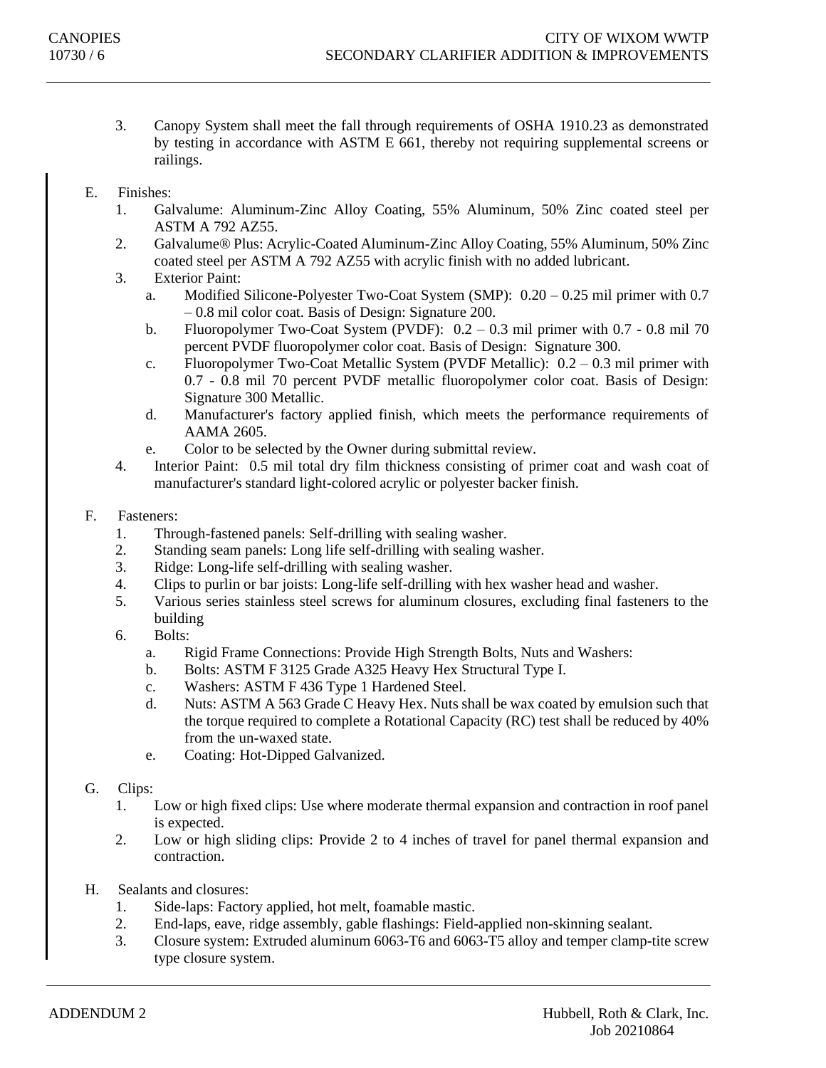- 3. Canopy System shall meet the fall through requirements of OSHA 1910.23 as demonstrated by testing in accordance with ASTM E 661, thereby not requiring supplemental screens or railings.
- E. Finishes:
	- 1. Galvalume: Aluminum-Zinc Alloy Coating, 55% Aluminum, 50% Zinc coated steel per ASTM A 792 AZ55.
	- 2. Galvalume® Plus: Acrylic-Coated Aluminum-Zinc Alloy Coating, 55% Aluminum, 50% Zinc coated steel per ASTM A 792 AZ55 with acrylic finish with no added lubricant.
	- 3. Exterior Paint:
		- a. Modified Silicone-Polyester Two-Coat System (SMP): 0.20 0.25 mil primer with 0.7 – 0.8 mil color coat. Basis of Design: Signature 200.
		- b. Fluoropolymer Two-Coat System (PVDF): 0.2 0.3 mil primer with 0.7 0.8 mil 70 percent PVDF fluoropolymer color coat. Basis of Design: Signature 300.
		- c. Fluoropolymer Two-Coat Metallic System (PVDF Metallic): 0.2 0.3 mil primer with 0.7 - 0.8 mil 70 percent PVDF metallic fluoropolymer color coat. Basis of Design: Signature 300 Metallic.
		- d. Manufacturer's factory applied finish, which meets the performance requirements of AAMA 2605.
		- e. Color to be selected by the Owner during submittal review.
	- 4. Interior Paint: 0.5 mil total dry film thickness consisting of primer coat and wash coat of manufacturer's standard light-colored acrylic or polyester backer finish.
- F. Fasteners:
	- 1. Through-fastened panels: Self-drilling with sealing washer.
	- 2. Standing seam panels: Long life self-drilling with sealing washer.
	- 3. Ridge: Long-life self-drilling with sealing washer.
	- 4. Clips to purlin or bar joists: Long-life self-drilling with hex washer head and washer.
	- 5. Various series stainless steel screws for aluminum closures, excluding final fasteners to the building
	- 6. Bolts:
		- a. Rigid Frame Connections: Provide High Strength Bolts, Nuts and Washers:
		- b. Bolts: ASTM F 3125 Grade A325 Heavy Hex Structural Type I.
		- c. Washers: ASTM F 436 Type 1 Hardened Steel.
		- d. Nuts: ASTM A 563 Grade C Heavy Hex. Nuts shall be wax coated by emulsion such that the torque required to complete a Rotational Capacity (RC) test shall be reduced by 40% from the un-waxed state.
		- e. Coating: Hot-Dipped Galvanized.
- G. Clips:
	- 1. Low or high fixed clips: Use where moderate thermal expansion and contraction in roof panel is expected.
	- 2. Low or high sliding clips: Provide 2 to 4 inches of travel for panel thermal expansion and contraction.
- H. Sealants and closures:
	- 1. Side-laps: Factory applied, hot melt, foamable mastic.
	- 2. End-laps, eave, ridge assembly, gable flashings: Field-applied non-skinning sealant.
	- 3. Closure system: Extruded aluminum 6063-T6 and 6063-T5 alloy and temper clamp-tite screw type closure system.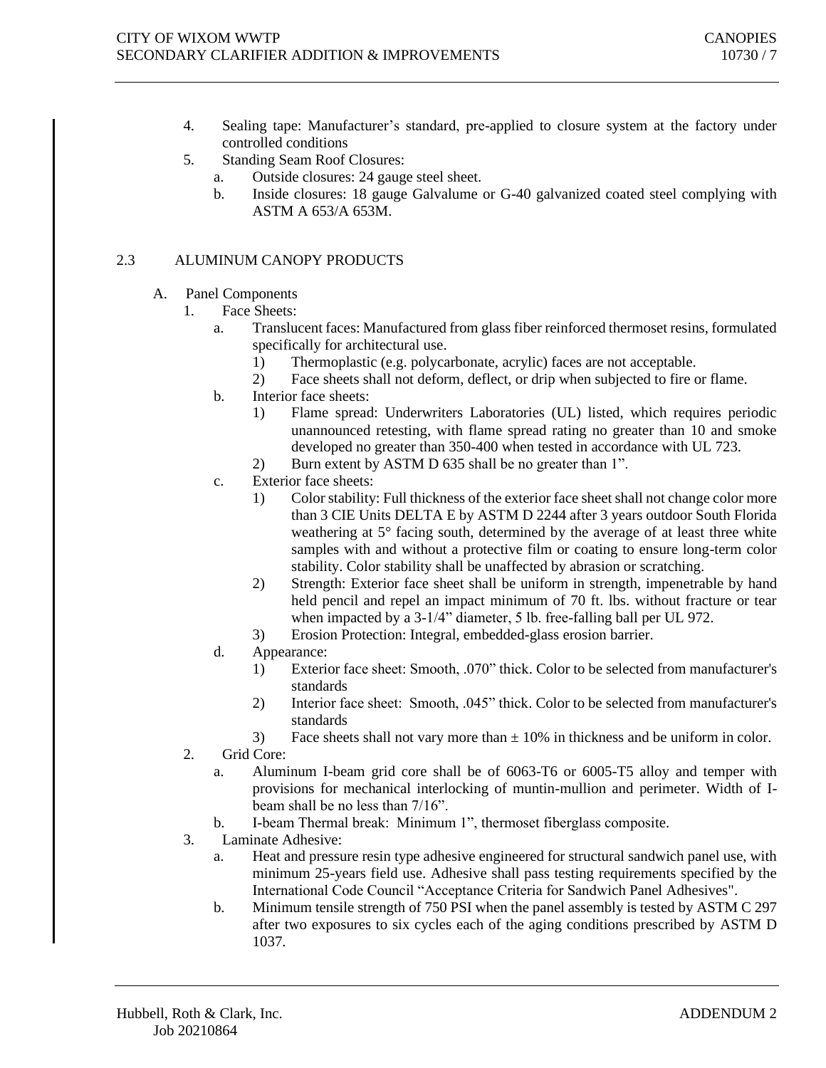- 4. Sealing tape: Manufacturer's standard, pre-applied to closure system at the factory under controlled conditions
- 5. Standing Seam Roof Closures:
	- a. Outside closures: 24 gauge steel sheet.
	- b. Inside closures: 18 gauge Galvalume or G-40 galvanized coated steel complying with ASTM A 653/A 653M.

# 2.3 ALUMINUM CANOPY PRODUCTS

- A. Panel Components
	- 1. Face Sheets:
		- a. Translucent faces: Manufactured from glass fiber reinforced thermoset resins, formulated specifically for architectural use.
			- 1) Thermoplastic (e.g. polycarbonate, acrylic) faces are not acceptable.
			- 2) Face sheets shall not deform, deflect, or drip when subjected to fire or flame.
		- b. Interior face sheets:
			- 1) Flame spread: Underwriters Laboratories (UL) listed, which requires periodic unannounced retesting, with flame spread rating no greater than 10 and smoke developed no greater than 350-400 when tested in accordance with UL 723.
			- 2) Burn extent by ASTM D 635 shall be no greater than 1".
		- c. Exterior face sheets:
			- 1) Color stability: Full thickness of the exterior face sheet shall not change color more than 3 CIE Units DELTA E by ASTM D 2244 after 3 years outdoor South Florida weathering at 5° facing south, determined by the average of at least three white samples with and without a protective film or coating to ensure long-term color stability. Color stability shall be unaffected by abrasion or scratching.
			- 2) Strength: Exterior face sheet shall be uniform in strength, impenetrable by hand held pencil and repel an impact minimum of 70 ft. lbs. without fracture or tear when impacted by a 3-1/4" diameter, 5 lb. free-falling ball per UL 972.
			- 3) Erosion Protection: Integral, embedded-glass erosion barrier.
		- d. Appearance:
			- 1) Exterior face sheet: Smooth, .070" thick. Color to be selected from manufacturer's standards
			- 2) Interior face sheet: Smooth, .045" thick. Color to be selected from manufacturer's standards
			- 3) Face sheets shall not vary more than  $\pm$  10% in thickness and be uniform in color.
	- 2. Grid Core:
		- a. Aluminum I-beam grid core shall be of 6063-T6 or 6005-T5 alloy and temper with provisions for mechanical interlocking of muntin-mullion and perimeter. Width of Ibeam shall be no less than 7/16".
		- b. I-beam Thermal break: Minimum 1", thermoset fiberglass composite.
	- 3. Laminate Adhesive:
		- a. Heat and pressure resin type adhesive engineered for structural sandwich panel use, with minimum 25-years field use. Adhesive shall pass testing requirements specified by the International Code Council "Acceptance Criteria for Sandwich Panel Adhesives".
		- b. Minimum tensile strength of 750 PSI when the panel assembly is tested by ASTM C 297 after two exposures to six cycles each of the aging conditions prescribed by ASTM D 1037.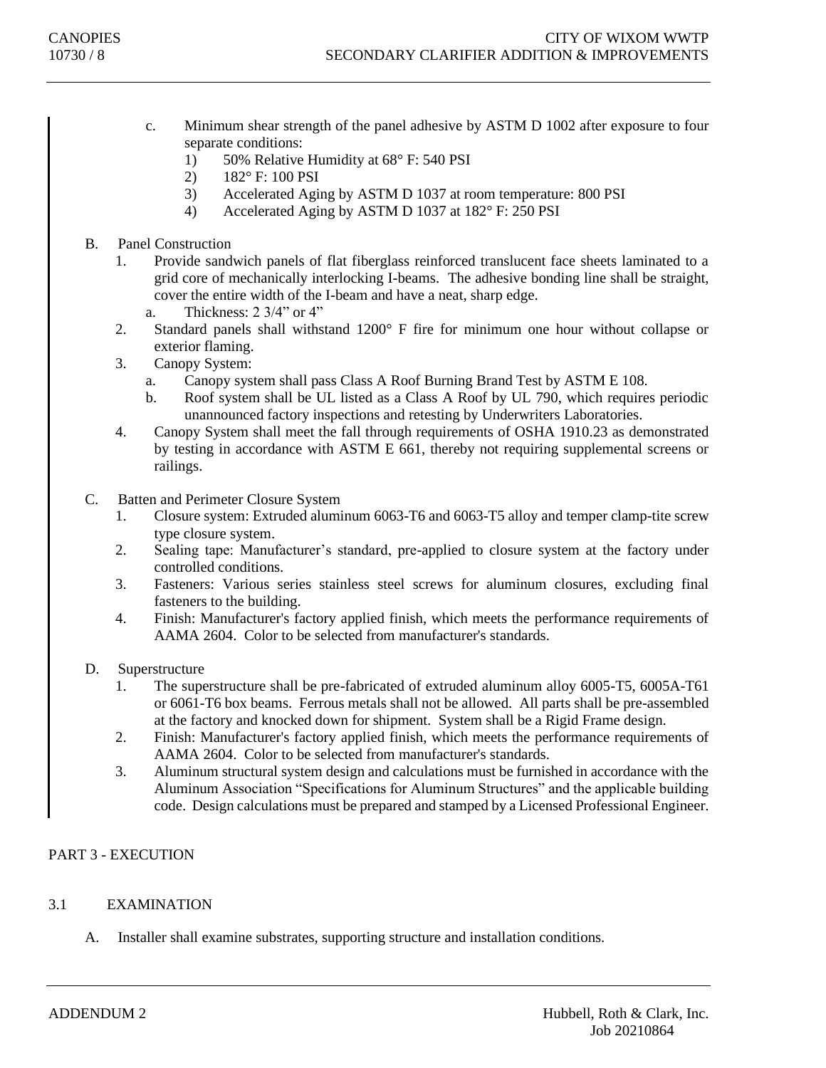- c. Minimum shear strength of the panel adhesive by ASTM D 1002 after exposure to four separate conditions:
	- 1) 50% Relative Humidity at 68° F: 540 PSI
	- 2) 182° F: 100 PSI
	- 3) Accelerated Aging by ASTM D 1037 at room temperature: 800 PSI
	- 4) Accelerated Aging by ASTM D 1037 at 182° F: 250 PSI

B. Panel Construction

- 1. Provide sandwich panels of flat fiberglass reinforced translucent face sheets laminated to a grid core of mechanically interlocking I-beams. The adhesive bonding line shall be straight, cover the entire width of the I-beam and have a neat, sharp edge.
	- a. Thickness: 2 3/4" or 4"
- 2. Standard panels shall withstand 1200° F fire for minimum one hour without collapse or exterior flaming.
- 3. Canopy System:
	- a. Canopy system shall pass Class A Roof Burning Brand Test by ASTM E 108.
	- b. Roof system shall be UL listed as a Class A Roof by UL 790, which requires periodic unannounced factory inspections and retesting by Underwriters Laboratories.
- 4. Canopy System shall meet the fall through requirements of OSHA 1910.23 as demonstrated by testing in accordance with ASTM E 661, thereby not requiring supplemental screens or railings.
- C. Batten and Perimeter Closure System
	- 1. Closure system: Extruded aluminum 6063-T6 and 6063-T5 alloy and temper clamp-tite screw type closure system.
	- 2. Sealing tape: Manufacturer's standard, pre-applied to closure system at the factory under controlled conditions.
	- 3. Fasteners: Various series stainless steel screws for aluminum closures, excluding final fasteners to the building.
	- 4. Finish: Manufacturer's factory applied finish, which meets the performance requirements of AAMA 2604. Color to be selected from manufacturer's standards.
- D. Superstructure
	- 1. The superstructure shall be pre-fabricated of extruded aluminum alloy 6005-T5, 6005A-T61 or 6061-T6 box beams. Ferrous metals shall not be allowed. All parts shall be pre-assembled at the factory and knocked down for shipment. System shall be a Rigid Frame design.
	- 2. Finish: Manufacturer's factory applied finish, which meets the performance requirements of AAMA 2604. Color to be selected from manufacturer's standards.
	- 3. Aluminum structural system design and calculations must be furnished in accordance with the Aluminum Association "Specifications for Aluminum Structures" and the applicable building code. Design calculations must be prepared and stamped by a Licensed Professional Engineer.

# PART 3 - EXECUTION

# 3.1 EXAMINATION

A. Installer shall examine substrates, supporting structure and installation conditions.